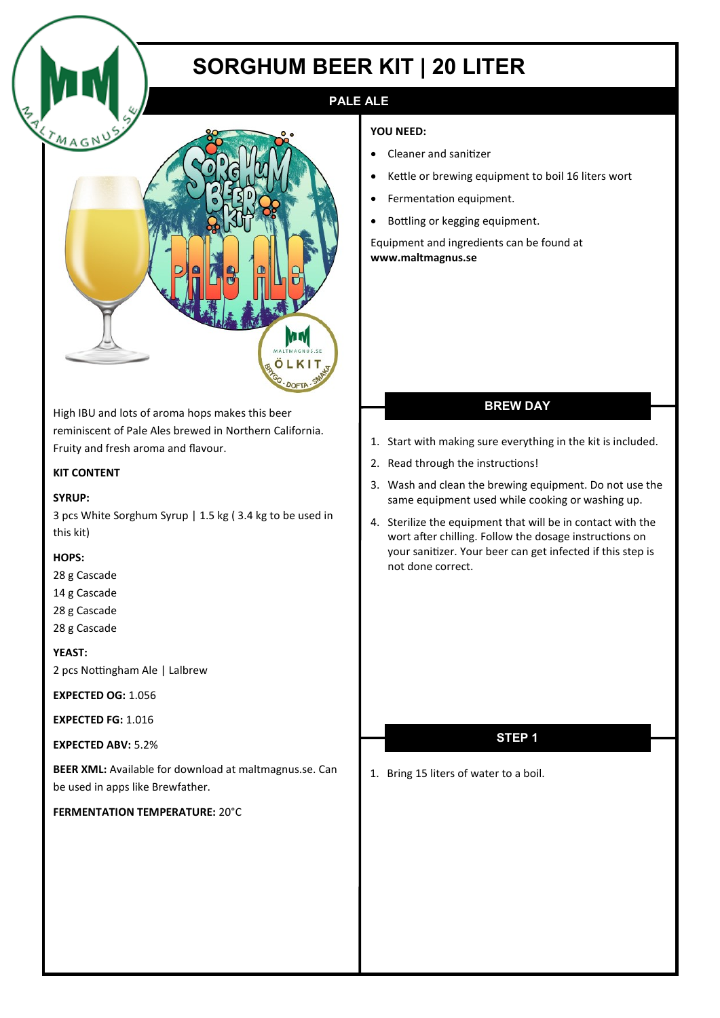# **SORGHUM BEER KIT | 20 LITER**

## **PALE ALE**

#### **YOU NEED:**

- Cleaner and sanitizer
- Kettle or brewing equipment to boil 16 liters wort
- Fermentation equipment.
- Bottling or kegging equipment.

Equipment and ingredients can be found at **www.maltmagnus.se** 

## **BREW DAY**

- 1. Start with making sure everything in the kit is included.
- 2. Read through the instructions!
- 3. Wash and clean the brewing equipment. Do not use the same equipment used while cooking or washing up.
- 4. Sterilize the equipment that will be in contact with the wort after chilling. Follow the dosage instructions on your sanitizer. Your beer can get infected if this step is not done correct.

## **STEP 1**

1. Bring 15 liters of water to a boil.



High IBU and lots of aroma hops makes this beer reminiscent of Pale Ales brewed in Northern California. Fruity and fresh aroma and flavour.

### **KIT CONTENT**

#### **SYRUP:**

3 pcs White Sorghum Syrup | 1.5 kg ( 3.4 kg to be used in this kit)

### **HOPS:**

- 28 g Cascade 14 g Cascade
- 28 g Cascade 28 g Cascade

### **YEAST:**

2 pcs Nottingham Ale | Lalbrew

**EXPECTED OG:** 1.056

**EXPECTED FG:** 1.016

### **EXPECTED ABV:** 5.2%

**BEER XML:** Available for download at maltmagnus.se. Can be used in apps like Brewfather.

**FERMENTATION TEMPERATURE:** 20°C